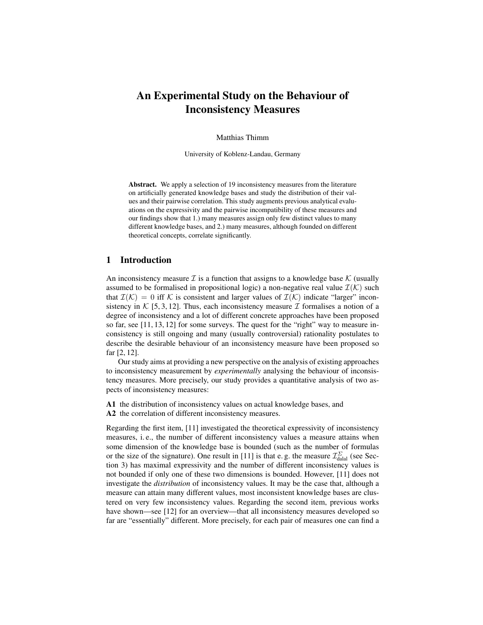# An Experimental Study on the Behaviour of Inconsistency Measures

Matthias Thimm

University of Koblenz-Landau, Germany

Abstract. We apply a selection of 19 inconsistency measures from the literature on artificially generated knowledge bases and study the distribution of their values and their pairwise correlation. This study augments previous analytical evaluations on the expressivity and the pairwise incompatibility of these measures and our findings show that 1.) many measures assign only few distinct values to many different knowledge bases, and 2.) many measures, although founded on different theoretical concepts, correlate significantly.

# 1 Introduction

An inconsistency measure  $\mathcal I$  is a function that assigns to a knowledge base  $\mathcal K$  (usually assumed to be formalised in propositional logic) a non-negative real value  $\mathcal{I}(\mathcal{K})$  such that  $\mathcal{I}(\mathcal{K}) = 0$  iff K is consistent and larger values of  $\mathcal{I}(\mathcal{K})$  indicate "larger" inconsistency in K [5, 3, 12]. Thus, each inconsistency measure T formalises a notion of a degree of inconsistency and a lot of different concrete approaches have been proposed so far, see [11, 13, 12] for some surveys. The quest for the "right" way to measure inconsistency is still ongoing and many (usually controversial) rationality postulates to describe the desirable behaviour of an inconsistency measure have been proposed so far [2, 12].

Our study aims at providing a new perspective on the analysis of existing approaches to inconsistency measurement by *experimentally* analysing the behaviour of inconsistency measures. More precisely, our study provides a quantitative analysis of two aspects of inconsistency measures:

A1 the distribution of inconsistency values on actual knowledge bases, and A2 the correlation of different inconsistency measures.

Regarding the first item, [11] investigated the theoretical expressivity of inconsistency measures, i. e., the number of different inconsistency values a measure attains when some dimension of the knowledge base is bounded (such as the number of formulas or the size of the signature). One result in [11] is that e.g. the measure  $\mathcal{I}^{\Sigma}_{\text{dala}}$  (see Section 3) has maximal expressivity and the number of different inconsistency values is not bounded if only one of these two dimensions is bounded. However, [11] does not investigate the *distribution* of inconsistency values. It may be the case that, although a measure can attain many different values, most inconsistent knowledge bases are clustered on very few inconsistency values. Regarding the second item, previous works have shown—see [12] for an overview—that all inconsistency measures developed so far are "essentially" different. More precisely, for each pair of measures one can find a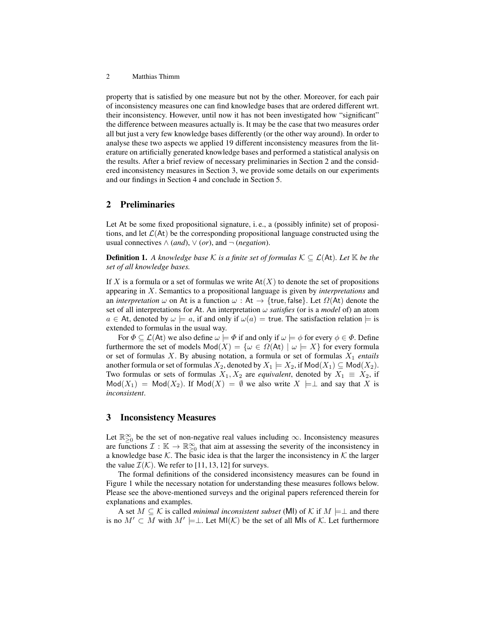2 Matthias Thimm

property that is satisfied by one measure but not by the other. Moreover, for each pair of inconsistency measures one can find knowledge bases that are ordered different wrt. their inconsistency. However, until now it has not been investigated how "significant" the difference between measures actually is. It may be the case that two measures order all but just a very few knowledge bases differently (or the other way around). In order to analyse these two aspects we applied 19 different inconsistency measures from the literature on artificially generated knowledge bases and performed a statistical analysis on the results. After a brief review of necessary preliminaries in Section 2 and the considered inconsistency measures in Section 3, we provide some details on our experiments and our findings in Section 4 and conclude in Section 5.

# 2 Preliminaries

Let At be some fixed propositional signature, i. e., a (possibly infinite) set of propositions, and let  $\mathcal{L}(At)$  be the corresponding propositional language constructed using the usual connectives  $\wedge$  (*and*),  $\vee$  (*or*), and  $\neg$  (*negation*).

**Definition 1.** A knowledge base K is a finite set of formulas  $K \subseteq \mathcal{L}(At)$ . Let K be the *set of all knowledge bases.*

If X is a formula or a set of formulas we write  $At(X)$  to denote the set of propositions appearing in X. Semantics to a propositional language is given by *interpretations* and an *interpretation*  $\omega$  on At is a function  $\omega$  : At  $\rightarrow$  {true, false}. Let  $\Omega(At)$  denote the set of all interpretations for At. An interpretation  $\omega$  *satisfies* (or is a *model* of) an atom  $a \in At$ , denoted by  $\omega \models a$ , if and only if  $\omega(a) =$  true. The satisfaction relation  $\models$  is extended to formulas in the usual way.

For  $\Phi \subseteq \mathcal{L}(A_t)$  we also define  $\omega \models \Phi$  if and only if  $\omega \models \phi$  for every  $\phi \in \Phi$ . Define furthermore the set of models  $\text{Mod}(X) = \{ \omega \in \Omega(\text{At}) \mid \omega \models X \}$  for every formula or set of formulas X. By abusing notation, a formula or set of formulas X<sup>1</sup> *entails* another formula or set of formulas  $X_2$ , denoted by  $X_1 \models X_2$ , if  $\mathsf{Mod}(X_1) \subseteq \mathsf{Mod}(X_2)$ . Two formulas or sets of formulas  $X_1, X_2$  are *equivalent*, denoted by  $X_1 \equiv X_2$ , if  $Mod(X_1) = Mod(X_2)$ . If  $Mod(X) = \emptyset$  we also write  $X \models \bot$  and say that X is *inconsistent*.

### 3 Inconsistency Measures

Let  $\mathbb{R}^{\infty}_{\geq 0}$  be the set of non-negative real values including  $\infty$ . Inconsistency measures are functions  $\mathcal{I}: \mathbb{K} \to \mathbb{R}^\infty_{\geq 0}$  that aim at assessing the severity of the inconsistency in a knowledge base K. The basic idea is that the larger the inconsistency in K the larger the value  $\mathcal{I}(\mathcal{K})$ . We refer to [11, 13, 12] for surveys.

The formal definitions of the considered inconsistency measures can be found in Figure 1 while the necessary notation for understanding these measures follows below. Please see the above-mentioned surveys and the original papers referenced therein for explanations and examples.

A set  $M \subseteq \mathcal{K}$  is called *minimal inconsistent subset* (MI) of  $\mathcal{K}$  if  $M \models \perp$  and there is no  $M' \subset M$  with  $M' \models \perp$ . Let MI(K) be the set of all MIs of K. Let furthermore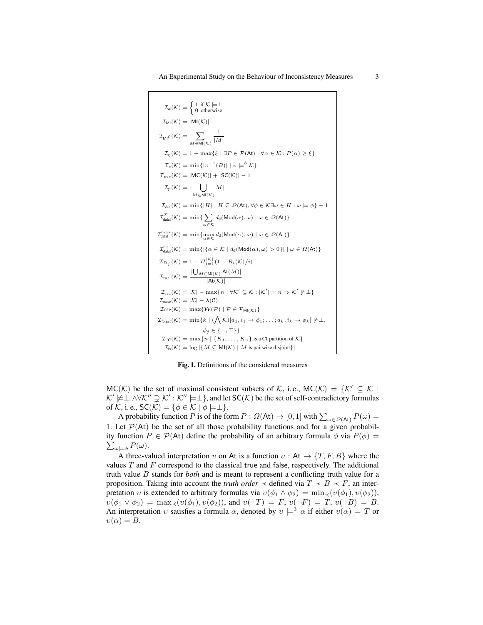$$
I_{\text{d}}(K) = \begin{cases} 1 \text{ if } K \models \perp \\ 0 \text{ otherwise} \end{cases}
$$
  
\n
$$
I_{\text{M}}(K) = |\text{M}I(K)|
$$
  
\n
$$
I_{\text{M}}(K) = 1 - \max\{\xi \mid \exists P \in \mathcal{P}(\text{At}) : \forall \alpha \in K : P(\alpha) \ge \xi\}
$$
  
\n
$$
I_{\alpha}(K) = \min\{|v^{-1}(B)| | v \models^{3} K\}
$$
  
\n
$$
I_{mc}(K) = |\text{M}C(K)| + |\text{SC}(K)| - 1
$$
  
\n
$$
I_{pc}(K) = |\bigcup_{M \in \text{M}(\mathcal{K})} M|
$$
  
\n
$$
I_{hs}(K) = \min\{|H| | H \subseteq \Omega(\text{At}), \forall \phi \in K \exists \omega \in H : \omega \models \phi\} - 1
$$
  
\n
$$
I_{\text{dual}}^{E}(\chi) = \min\{\sum_{\alpha \in K} d_{\text{d}}(\text{Mod}(\alpha), \omega) | \omega \in \Omega(\text{At})\}
$$
  
\n
$$
I_{\text{dual}}^{\max}(K) = \min\{\max_{\alpha \in K} d_{\text{d}}(\text{Mod}(\alpha), \omega) | \omega \in \Omega(\text{At})\}
$$
  
\n
$$
I_{\text{dual}}^{\text{hit}}(K) = \min\{[\{\alpha \in K | d_{\text{d}}(\text{Mod}(\alpha), \omega) > 0\} | \omega \in \Omega(\text{At})\}
$$
  
\n
$$
I_{\text{dual}}(K) = \min\{[\{\alpha \in K | d_{\text{d}}(\text{Mod}(\alpha), \omega) > 0\} | \omega \in \Omega(\text{At})\}
$$
  
\n
$$
I_{\text{dual}}(K) = 1 - I_{i=1}^{K} (1 - R_{i}(K)/i)
$$
  
\n
$$
I_{mc}(K) = \frac{|\bigcup_{M \in \text{M}(\mathcal{K})} \text{At}(M)|}{|\text{At}(K)|}
$$
  
\n
$$
I_{mc}(K) = |K| - \max\{n | \forall K' \subseteq K : |K'| = n \Rightarrow K' \not\models \bot
$$

Fig. 1. Definitions of the considered measures

 $MC(K)$  be the set of maximal consistent subsets of K, i.e.,  $MC(K) = \{K' \subseteq K \mid$  $\mathcal{K}' \not\models \perp \wedge \forall \mathcal{K}'' \supsetneq \mathcal{K}' : \mathcal{K}'' \models \perp$ , and let SC( $\mathcal{K}$ ) be the set of self-contradictory formulas of K, i. e.,  $SC(K) = \{ \phi \in K \mid \phi \models \perp \}.$ 

A probability function P is of the form  $P: \Omega(\text{At}) \to [0, 1]$  with  $\sum_{\omega \in \Omega(\text{At})} P(\omega) =$ 1. Let  $\mathcal{P}(At)$  be the set of all those probability functions and for a given probabil- $\sum_{\omega\models\phi}P(\omega).$ ity function  $P \in \mathcal{P}(A_t)$  define the probability of an arbitrary formula  $\phi$  via  $P(\phi) =$ 

A three-valued interpretation v on At is a function  $v : At \rightarrow \{T, F, B\}$  where the values  $T$  and  $F$  correspond to the classical true and false, respectively. The additional truth value B stands for *both* and is meant to represent a conflicting truth value for a proposition. Taking into account the *truth order*  $\prec$  defined via  $T \prec B \prec F$ , an interpretation v is extended to arbitrary formulas via  $v(\phi_1 \wedge \phi_2) = \min_{\prec} (v(\phi_1), v(\phi_2)),$  $v(\phi_1 \lor \phi_2) = \max_{\prec} (v(\phi_1), v(\phi_2))$ , and  $v(\neg T) = F$ ,  $v(\neg F) = T$ ,  $v(\neg B) = B$ . An interpretation v satisfies a formula  $\alpha$ , denoted by  $v \models^3 \alpha$  if either  $v(\alpha) = T$  or  $v(\alpha) = B.$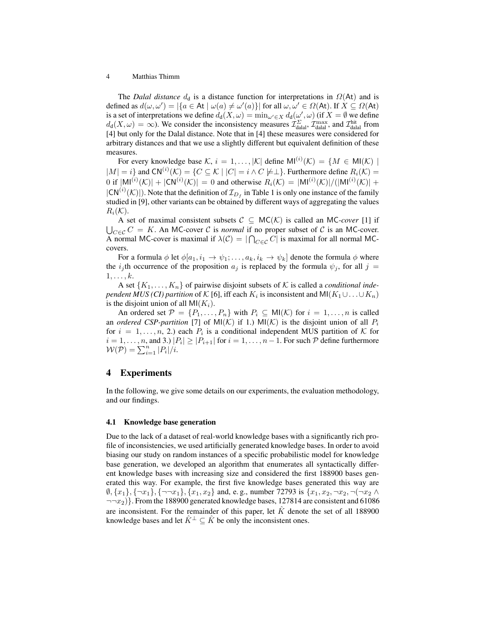### 4 Matthias Thimm

The *Dalal distance*  $d_d$  is a distance function for interpretations in  $\Omega$ (At) and is defined as  $d(\omega, \omega') = |\{a \in \mathsf{At} \mid \omega(a) \neq \omega'(a)\}|$  for all  $\omega, \omega' \in \Omega(\mathsf{At})$ . If  $X \subseteq \Omega(\mathsf{At})$ is a set of interpretations we define  $d_d(X,\omega) = \min_{\omega' \in X} d_d(\omega',\omega)$  (if  $X = \emptyset$  we define  $d_d(X, \omega) = \infty$ ). We consider the inconsistency measures  $\mathcal{I}^{\Sigma}_{\text{dala}}$ ,  $\mathcal{I}^{\max}_{\text{dala}}$ , and  $\mathcal{I}^{\text{hit}}_{\text{dala}}$  from [4] but only for the Dalal distance. Note that in [4] these measures were considered for arbitrary distances and that we use a slightly different but equivalent definition of these measures.

For every knowledge base  $\mathcal{K}, i = 1, ..., |\mathcal{K}|$  define  $\mathsf{MI}^{(i)}(\mathcal{K}) = \{M \in \mathsf{MI}(\mathcal{K}) \mid \mathcal{K}\}$  $|M| = i$ } and  $CN^{(i)}(\mathcal{K}) = \{ C \subseteq \mathcal{K} \mid |C| = i \wedge C \neq \perp \}$ . Furthermore define  $R_i(\mathcal{K}) =$ 0 if  $|M|^{(i)}(\mathcal{K})| + |\mathsf{CN}^{(i)}(\mathcal{K})| = 0$  and otherwise  $R_i(\mathcal{K}) = |M|^{(i)}(\mathcal{K})| / (|M|^{(i)}(\mathcal{K})| +$  $|CN^{(i)}(\mathcal{K})|$ ). Note that the definition of  $\mathcal{I}_{D_f}$  in Table 1 is only one instance of the family studied in [9], other variants can be obtained by different ways of aggregating the values  $R_i(\mathcal{K}).$ 

A set of maximal consistent subsets  $C \subseteq MC(K)$  is called an MC*-cover* [1] if  $\bigcup_{C \in \mathcal{C}} C = K$ . An MC-cover  $\mathcal{C}$  is *normal* if no proper subset of  $\mathcal{C}$  is an MC-cover. A normal MC-cover is maximal if  $\lambda(C) = |\bigcap_{C \in \mathcal{C}} C|$  is maximal for all normal MCcovers.

For a formula  $\phi$  let  $\phi[a_1, i_1 \to \psi_1; \dots, a_k, i_k \to \psi_k]$  denote the formula  $\phi$  where the  $i_j$ th occurrence of the proposition  $a_j$  is replaced by the formula  $\psi_j$ , for all  $j =$  $1, \ldots, k$ .

A set  $\{K_1, \ldots, K_n\}$  of pairwise disjoint subsets of K is called a *conditional independent MUS (CI) partition* of  $\mathcal K$  [6], iff each  $K_i$  is inconsistent and MI $(K_1\cup\ldots\cup K_n)$ is the disjoint union of all  $MI(K_i)$ .

An ordered set  $\mathcal{P} = \{P_1, \ldots, P_n\}$  with  $P_i \subseteq \mathsf{MI}(\mathcal{K})$  for  $i = 1, \ldots, n$  is called an *ordered CSP-partition* [7] of MI(K) if 1.) MI(K) is the disjoint union of all  $P_i$ for  $i = 1, \ldots, n$ , 2.) each  $P_i$  is a conditional independent MUS partition of K for  $i = 1, \ldots, n$ , and 3.)  $|P_i| \geq |P_{i+1}|$  for  $i = 1, \ldots, n-1$ . For such  ${\mathcal P}$  define furthermore  $\mathcal{W}(\mathcal{P}) = \sum_{i=1}^n |P_i|/i.$ 

## 4 Experiments

In the following, we give some details on our experiments, the evaluation methodology, and our findings.

#### 4.1 Knowledge base generation

Due to the lack of a dataset of real-world knowledge bases with a significantly rich profile of inconsistencies, we used artificially generated knowledge bases. In order to avoid biasing our study on random instances of a specific probabilistic model for knowledge base generation, we developed an algorithm that enumerates all syntactically different knowledge bases with increasing size and considered the first 188900 bases generated this way. For example, the first five knowledge bases generated this way are  $\emptyset$ ,  $\{x_1\}$ ,  $\{\neg x_1\}$ ,  $\{\neg x_1\}$ ,  $\{x_1, x_2\}$  and, e.g., number 72793 is  $\{x_1, x_2, \neg x_2, \neg(\neg x_2 \land \neg x_1\})$  $\neg \neg x_2$ }. From the 188900 generated knowledge bases, 127814 are consistent and 61086 are inconsistent. For the remainder of this paper, let  $\hat{K}$  denote the set of all 188900 knowledge bases and let  $\hat{K}^{\perp} \subseteq \hat{K}$  be only the inconsistent ones.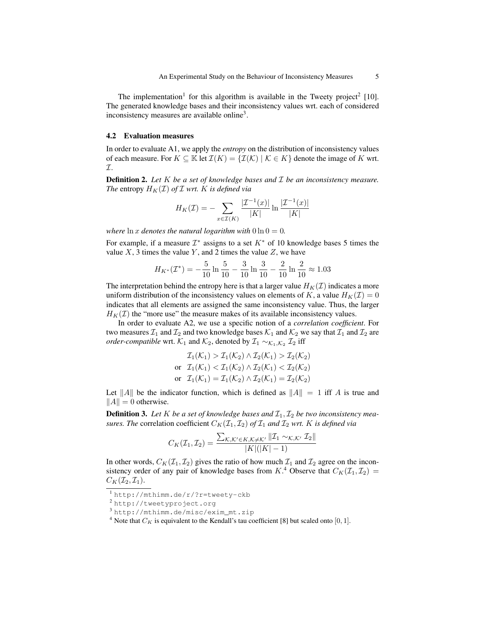The implementation<sup>1</sup> for this algorithm is available in the Tweety project<sup>2</sup> [10]. The generated knowledge bases and their inconsistency values wrt. each of considered inconsistency measures are available online<sup>3</sup>.

#### 4.2 Evaluation measures

In order to evaluate A1, we apply the *entropy* on the distribution of inconsistency values of each measure. For  $K \subseteq \mathbb{K}$  let  $\mathcal{I}(K) = \{ \mathcal{I}(K) \mid \mathcal{K} \in K \}$  denote the image of K wrt. I.

Definition 2. *Let* K *be a set of knowledge bases and* I *be an inconsistency measure. The* entropy  $H_K(\mathcal{I})$  *of*  $\mathcal{I}$  *wrt. K is defined via* 

$$
H_K(\mathcal{I}) = -\sum_{x \in \mathcal{I}(K)} \frac{|\mathcal{I}^{-1}(x)|}{|K|} \ln \frac{|\mathcal{I}^{-1}(x)|}{|K|}
$$

*where*  $\ln x$  *denotes the natural logarithm with*  $0 \ln 0 = 0$ *.* 

For example, if a measure  $\mathcal{I}^*$  assigns to a set  $K^*$  of 10 knowledge bases 5 times the value  $X$ , 3 times the value  $Y$ , and 2 times the value  $Z$ , we have

$$
H_{K^*}(\mathcal{I}^*) = -\frac{5}{10} \ln \frac{5}{10} - \frac{3}{10} \ln \frac{3}{10} - \frac{2}{10} \ln \frac{2}{10} \approx 1.03
$$

The interpretation behind the entropy here is that a larger value  $H_K(\mathcal{I})$  indicates a more uniform distribution of the inconsistency values on elements of K, a value  $H_K(\mathcal{I}) = 0$ indicates that all elements are assigned the same inconsistency value. Thus, the larger  $H_K(\mathcal{I})$  the "more use" the measure makes of its available inconsistency values.

In order to evaluate A2, we use a specific notion of a *correlation coefficient*. For two measures  $\mathcal{I}_1$  and  $\mathcal{I}_2$  and two knowledge bases  $\mathcal{K}_1$  and  $\mathcal{K}_2$  we say that  $\mathcal{I}_1$  and  $\mathcal{I}_2$  are *order-compatible* wrt.  $\mathcal{K}_1$  and  $\mathcal{K}_2$ , denoted by  $\mathcal{I}_1 \sim_{\mathcal{K}_1, \mathcal{K}_2} \mathcal{I}_2$  iff

$$
\mathcal{I}_1(\mathcal{K}_1) > \mathcal{I}_1(\mathcal{K}_2) \land \mathcal{I}_2(\mathcal{K}_1) > \mathcal{I}_2(\mathcal{K}_2)
$$
\nor

\n
$$
\mathcal{I}_1(\mathcal{K}_1) < \mathcal{I}_1(\mathcal{K}_2) \land \mathcal{I}_2(\mathcal{K}_1) < \mathcal{I}_2(\mathcal{K}_2)
$$
\nor

\n
$$
\mathcal{I}_1(\mathcal{K}_1) = \mathcal{I}_1(\mathcal{K}_2) \land \mathcal{I}_2(\mathcal{K}_1) = \mathcal{I}_2(\mathcal{K}_2)
$$

Let ||A|| be the indicator function, which is defined as  $||A|| = 1$  iff A is true and  $||A|| = 0$  otherwise.

**Definition 3.** Let K be a set of knowledge bases and  $\mathcal{I}_1, \mathcal{I}_2$  be two inconsistency mea*sures. The* correlation coefficient  $C_K(\mathcal{I}_1, \mathcal{I}_2)$  *of*  $\mathcal{I}_1$  *and*  $\mathcal{I}_2$  *wrt. K is defined via* 

$$
C_K(\mathcal{I}_1, \mathcal{I}_2) = \frac{\sum_{\mathcal{K},\mathcal{K}' \in K, \mathcal{K} \neq \mathcal{K}'} \|\mathcal{I}_1 \sim_{\mathcal{K},\mathcal{K}'} \mathcal{I}_2\|}{|\mathcal{K}|(|\mathcal{K}|-1)}
$$

In other words,  $C_K(\mathcal{I}_1, \mathcal{I}_2)$  gives the ratio of how much  $\mathcal{I}_1$  and  $\mathcal{I}_2$  agree on the inconsistency order of any pair of knowledge bases from K.<sup>4</sup> Observe that  $C_K(\mathcal{I}_1, \mathcal{I}_2)$  =  $C_K(\mathcal{I}_2, \mathcal{I}_1).$ 

<sup>3</sup> http://mthimm.de/misc/exim\_mt.zip

<sup>1</sup> http://mthimm.de/r/?r=tweety-ckb

<sup>2</sup> http://tweetyproject.org

<sup>&</sup>lt;sup>4</sup> Note that  $C_K$  is equivalent to the Kendall's tau coefficient [8] but scaled onto [0, 1].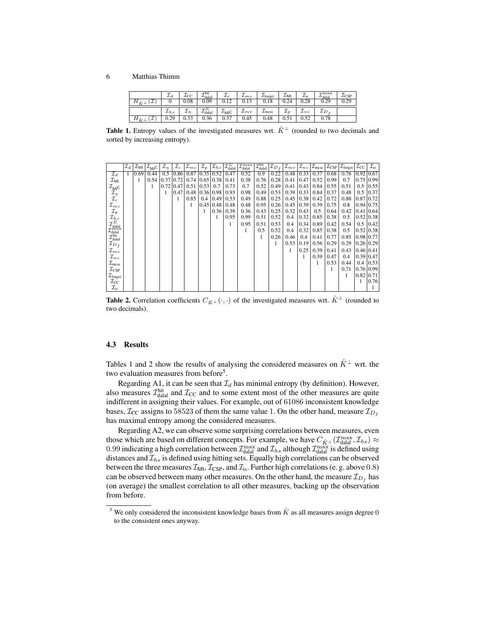#### 6 Matthias Thimm

|        | ∸₫         | $\mathcal{L}_{\text{CC}}$ | $\tau$ hit<br>$^L$ dalal | ∸∈               | $_{\perp mc}$ | $\perp$ forget | ⊥MI  | . .<br>$L_{\rm IS}$ | $\tau$ max<br>$L_{\rm dala}$ | -CSP |
|--------|------------|---------------------------|--------------------------|------------------|---------------|----------------|------|---------------------|------------------------------|------|
| $\sim$ |            | $_{0.08}$                 | $_{0.09}$                | 0.12             | v. i J        | 0.18           | 0.24 | 0.28                | 0.29                         | 0.29 |
|        | $\perp$ hs |                           | $L_{\text{dala}}$        | $L_{\text{MIL}}$ | $-mv$         | $\perp$ mcsc   |      | $\mu_{nc}$          |                              |      |
|        | 0.29       | 0.33                      | 0.36                     | 0.37             | 0.45          | 0.48           | 0.51 | በ 52                | 0.78                         |      |

**Table 1.** Entropy values of the investigated measures wrt.  $\hat{K}^{\perp}$  (rounded to two decimals and sorted by increasing entropy).

|                                                                                                                     | $ \mathcal{I}_d $ |      | $\mathcal{I}_{\mathsf{MI}}   \mathcal{I}_{\mathsf{MI}}$ c | $\mathcal{I}_n$          | ${\cal I}_c$  | $ \mathcal {I}_{mc} $ |   | $\mathcal{I}_p$ $\mathcal{I}_{hs}$ | $\mathcal{I}_{\text{dala}}^{\Sigma}$ | $\mathcal{I}_{\text{dala}}^{\max}$ | $\mathcal{I}_{\text{dala}}^{\text{hit}}$ | $ {\cal I}_{D} _{\epsilon}$ | $ \mathcal{I}_{mv} \mathcal{I}_{nc} $ |                  | $\mathcal{I}_{\text{mcsc}}$ |      | $ \mathcal{I}_{\text{CSP}}  \mathcal{I}_{\text{forget}}$ | $\mathcal{I}_{\text{CC}}$ | $\mathcal{I}_{\text{is}}$ |
|---------------------------------------------------------------------------------------------------------------------|-------------------|------|-----------------------------------------------------------|--------------------------|---------------|-----------------------|---|------------------------------------|--------------------------------------|------------------------------------|------------------------------------------|-----------------------------|---------------------------------------|------------------|-----------------------------|------|----------------------------------------------------------|---------------------------|---------------------------|
| $\mathcal{I}_d$                                                                                                     | 1                 | 0.69 | 0.44                                                      | $0.5^{\circ}$            | 0.86          |                       |   | $0.87$ 0.35 0.52                   | 0.47                                 | 0.52                               | 0.9                                      | 0.22                        | 0.48                                  | $ 0.33\rangle$   | 0.37                        | 0.68 | 0.76                                                     | 0.92                      | 0.67                      |
| $\mathcal{I}_{\sf MI}$                                                                                              |                   | 1    |                                                           | $0.54$   $0.37$   $0.72$ |               | 0.74                  |   | $0.65 \mid 0.38$                   | 0.41                                 | 0.38                               | 0.76                                     | 0.28                        | 0.41                                  | 0.47             | 0.52                        | 0.99 | 0.7                                                      | 0.75                      | 0.99                      |
| $\mathcal{I}_{\mathsf{MI}}$ c                                                                                       |                   |      | 1                                                         |                          | $0.72$   0.47 | $0.51$ $ 0.53 $ $0.7$ |   |                                    | 0.73                                 | 0.7                                | 0.52                                     | 0.49                        | 0.41                                  | $ 0.43\rangle$   | 0.84                        | 0.55 | 0.51                                                     | 0.5                       | 0.55                      |
| $\mathcal{I}_{\eta}$                                                                                                |                   |      |                                                           | 1                        | 0.47          |                       |   | $0.48$   0.36   0.98               | 0.93                                 | 0.98                               | 0.49                                     | 0.53                        | 0.39                                  | 0.33             | 0.84                        | 0.37 | 0.48                                                     | 0.5                       | 0.37                      |
| $\mathcal{I}_c$                                                                                                     |                   |      |                                                           |                          | 1             | 0.85                  |   | $0.4 \mid 0.49$                    | 0.53                                 | 0.49                               | 0.88                                     | 0.25                        |                                       | $0.45 \mid 0.38$ | 0.42                        | 0.72 | 0.88                                                     |                           | 0.87 0.72                 |
| ${\cal I}_{mc}$                                                                                                     |                   |      |                                                           |                          |               | 1                     |   | $0.45 \mid 0.48 \mid$              | 0.48                                 | 0.48                               | 0.95                                     | 0.26                        | 0.45                                  | $ 0.39\rangle$   | 0.39                        | 0.75 | 0.8                                                      | 0.94 0.75                 |                           |
| ${\mathcal I}_p$                                                                                                    |                   |      |                                                           |                          |               |                       | 1 | 0.36                               | 0.39                                 | 0.36                               | 0.43                                     | 0.25                        | 0.32                                  | 0.43             | 0.5                         | 0.64 | 0.42                                                     |                           | $0.41 \, 0.64$            |
| $\mathcal{I}_{hs}$                                                                                                  |                   |      |                                                           |                          |               |                       |   | 1                                  | 0.95                                 | 0.99                               | 0.51                                     | 0.52                        | 0.4                                   | 0.32             | 0.85                        | 0.38 | 0.5                                                      | 0.52                      | 0.38                      |
| $\mathcal{I}_{\text{datal}}^{\Sigma} \ \mathcal{I}_{\text{datal}}^{\max} \ \mathcal{I}_{\text{datal}}^{\text{hit}}$ |                   |      |                                                           |                          |               |                       |   |                                    | 1                                    | 0.95                               | 0.51                                     | 0.53                        | 0.4                                   | 0.34             | 0.89                        | 0.42 | 0.54                                                     |                           | $0.5 \mid 0.42$           |
|                                                                                                                     |                   |      |                                                           |                          |               |                       |   |                                    |                                      | 1                                  | 0.5                                      | 0.52                        | 0.4                                   | 0.32             | 0.85                        | 0.38 | 0.5                                                      | 0.52                      | 0.38                      |
|                                                                                                                     |                   |      |                                                           |                          |               |                       |   |                                    |                                      |                                    |                                          | 0.26                        | 0.46                                  | 0.4              | 0.41                        | 0.77 | 0.85                                                     | $0.98 \mid 0.77$          |                           |
| $\mathcal{I}_{D_f}$                                                                                                 |                   |      |                                                           |                          |               |                       |   |                                    |                                      |                                    |                                          | 1                           | 0.53                                  | 0.19             | 0.56                        | 0.29 | 0.29                                                     | 0.26                      | 0.29                      |
| ${\cal I}_{mv}$                                                                                                     |                   |      |                                                           |                          |               |                       |   |                                    |                                      |                                    |                                          |                             | 1                                     | 0.25             | 0.39                        | 0.41 | 0.43                                                     |                           | $0.46 \,   \, 0.41$       |
| $\mathcal{I}_{nc}$                                                                                                  |                   |      |                                                           |                          |               |                       |   |                                    |                                      |                                    |                                          |                             |                                       | 1                | 0.39                        | 0.47 | 0.4                                                      | $0.39 \mid 0.47$          |                           |
| $\mathcal{I}_{\text{mesc}}$                                                                                         |                   |      |                                                           |                          |               |                       |   |                                    |                                      |                                    |                                          |                             |                                       |                  | 1                           | 0.53 | 0.44                                                     | 0.4                       | 0.53                      |
| $\mathcal{I}_{\text{CSP}}$                                                                                          |                   |      |                                                           |                          |               |                       |   |                                    |                                      |                                    |                                          |                             |                                       |                  |                             |      | 0.71                                                     |                           | 0.76 0.99                 |
| $\mathcal{I}_{\text{forget}}$                                                                                       |                   |      |                                                           |                          |               |                       |   |                                    |                                      |                                    |                                          |                             |                                       |                  |                             |      | 1                                                        | 0.82                      | 0.71                      |
| $\mathcal{I}_{\text{CC}}$                                                                                           |                   |      |                                                           |                          |               |                       |   |                                    |                                      |                                    |                                          |                             |                                       |                  |                             |      |                                                          | 1                         | 0.76                      |
| $\mathcal{I}_{\text{is}}$                                                                                           |                   |      |                                                           |                          |               |                       |   |                                    |                                      |                                    |                                          |                             |                                       |                  |                             |      |                                                          |                           | 1                         |

**Table 2.** Correlation coefficients  $C_{\hat{K}^\perp}(\cdot, \cdot)$  of the investigated measures wrt.  $\hat{K}^\perp$  (rounded to two decimals).

#### 4.3 Results

Tables 1 and 2 show the results of analysing the considered measures on  $\hat{K}^{\perp}$  wrt. the two evaluation measures from before<sup>5</sup>.

Regarding A1, it can be seen that  $\mathcal{I}_d$  has minimal entropy (by definition). However, also measures  $\mathcal{I}^{\text{hit}}_{\text{dald}}$  and  $\mathcal{I}_{\text{CC}}$  and to some extent most of the other measures are quite indifferent in assigning their values. For example, out of 61086 inconsistent knowledge bases,  $\mathcal{I}_{CC}$  assigns to 58523 of them the same value 1. On the other hand, measure  $\mathcal{I}_{D_f}$ has maximal entropy among the considered measures.

Regarding A2, we can observe some surprising correlations between measures, even those which are based on different concepts. For example, we have  $C_{\hat{K}^\perp}(\mathcal{I}^{\max}_{\text{dald}}, \mathcal{I}_{hs}) \approx$ 0.99 indicating a high correlation between  $\mathcal{I}_{\text{dala}}^{\text{max}}$  and  $\mathcal{I}_{hs}$  although  $\mathcal{I}_{\text{dala}}^{\text{max}}$  is defined using distances and  $\mathcal{I}_{hs}$  is defined using hitting sets. Equally high correlations can be observed between the three measures  $\mathcal{I}_{\text{MI}}, \mathcal{I}_{\text{CSP}},$  and  $\mathcal{I}_{\text{is}}$ . Further high correlations (e. g. above 0.8) can be observed between many other measures. On the other hand, the measure  $\mathcal{I}_{D_{f}}$  has (on average) the smallest correlation to all other measures, backing up the observation from before.

<sup>&</sup>lt;sup>5</sup> We only considered the inconsistent knowledge bases from  $\hat{K}$  as all measures assign degree 0 to the consistent ones anyway.